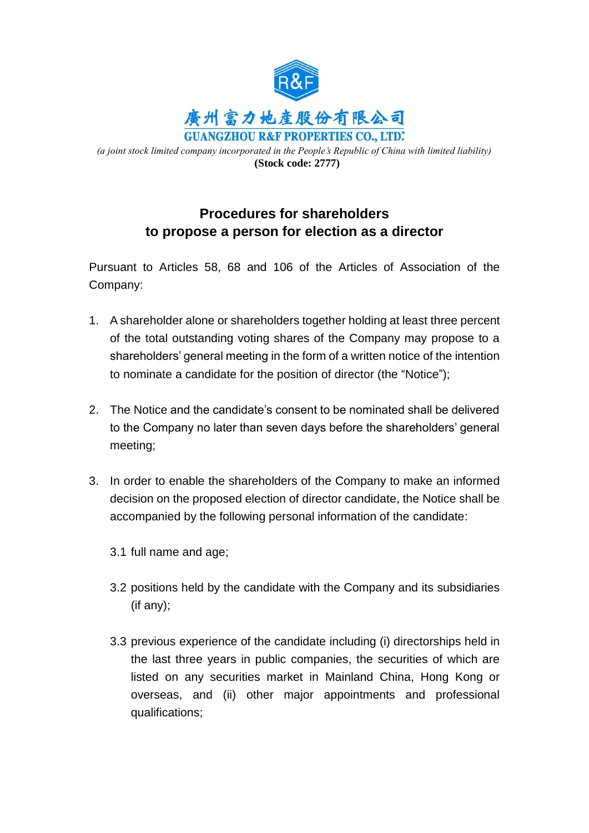

*(a joint stock limited company incorporated in the People's Republic of China with limited liability)* **(Stock code: 2777)**

## **Procedures for shareholders to propose a person for election as a director**

Pursuant to Articles 58, 68 and 106 of the Articles of Association of the Company:

- 1. A shareholder alone or shareholders together holding at least three percent of the total outstanding voting shares of the Company may propose to a shareholders' general meeting in the form of a written notice of the intention to nominate a candidate for the position of director (the "Notice");
- 2. The Notice and the candidate's consent to be nominated shall be delivered to the Company no later than seven days before the shareholders' general meeting;
- 3. In order to enable the shareholders of the Company to make an informed decision on the proposed election of director candidate, the Notice shall be accompanied by the following personal information of the candidate:
	- 3.1 full name and age;
	- 3.2 positions held by the candidate with the Company and its subsidiaries (if any);
	- 3.3 previous experience of the candidate including (i) directorships held in the last three years in public companies, the securities of which are listed on any securities market in Mainland China, Hong Kong or overseas, and (ii) other major appointments and professional qualifications;